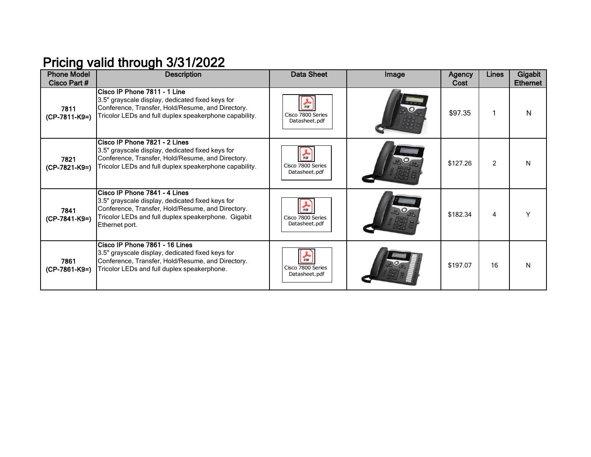## Pricing valid through 3/31/2022

| <b>Phone Model</b><br>Cisco Part # | <b>Description</b>                                                                                                                                                                                              | <b>Data Sheet</b>                                     | Image | <b>Agency</b><br>Cost | Lines         | Gigabit<br><b>Ethernet</b> |
|------------------------------------|-----------------------------------------------------------------------------------------------------------------------------------------------------------------------------------------------------------------|-------------------------------------------------------|-------|-----------------------|---------------|----------------------------|
| 7811<br>(CP-7811-K9=)              | Cisco IP Phone 7811 - 1 Line<br>3.5" grayscale display, dedicated fixed keys for<br>Conference, Transfer, Hold/Resume, and Directory.<br>Tricolor LEDs and full duplex speakerphone capability.                 | <b>A</b><br>PDF<br>Cisco 7800 Series<br>Datasheet.pdf |       | \$97.35               |               | N                          |
| 7821<br>(CP-7821-K9=)              | Cisco IP Phone 7821 - 2 Lines<br>3.5" grayscale display, dedicated fixed keys for<br>Conference, Transfer, Hold/Resume, and Directory.<br>Tricolor LEDs and full duplex speakerphone capability.                | ዹ<br>Cisco 7800 Series<br>Datasheet.pdf               |       | \$127.26              | $\mathcal{P}$ | N                          |
| 7841<br>$(CP-7841-K9=)$            | Cisco IP Phone 7841 - 4 Lines<br>3.5" grayscale display, dedicated fixed keys for<br>Conference, Transfer, Hold/Resume, and Directory.<br>Tricolor LEDs and full duplex speakerphone. Gigabit<br>Ethernet port. | 品<br>Cisco 7800 Series<br>Datasheet.pdf               |       | \$182.34              | 4             |                            |
| 7861<br>$(CP-7861-K9=)$            | Cisco IP Phone 7861 - 16 Lines<br>3.5" grayscale display, dedicated fixed keys for<br>Conference, Transfer, Hold/Resume, and Directory.<br>Tricolor LEDs and full duplex speakerphone.                          | 晶<br>Cisco 7800 Series<br>Datasheet.pdf               |       | \$197.07              | 16            | N                          |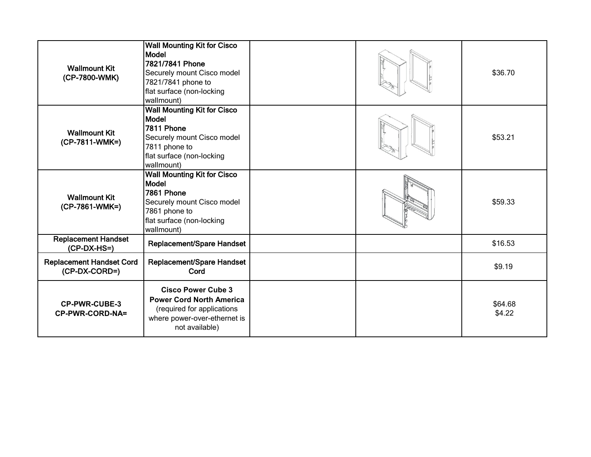| <b>Wallmount Kit</b><br>(CP-7800-WMK)            | <b>Wall Mounting Kit for Cisco</b><br>Model<br>7821/7841 Phone<br>Securely mount Cisco model<br>7821/7841 phone to<br>flat surface (non-locking<br>wallmount) |  | \$36.70           |
|--------------------------------------------------|---------------------------------------------------------------------------------------------------------------------------------------------------------------|--|-------------------|
| <b>Wallmount Kit</b><br>(CP-7811-WMK=)           | <b>Wall Mounting Kit for Cisco</b><br><b>Model</b><br>7811 Phone<br>Securely mount Cisco model<br>7811 phone to<br>flat surface (non-locking<br>wallmount)    |  | \$53.21           |
| <b>Wallmount Kit</b><br>(CP-7861-WMK=)           | <b>Wall Mounting Kit for Cisco</b><br>Model<br>7861 Phone<br>Securely mount Cisco model<br>7861 phone to<br>flat surface (non-locking<br>wallmount)           |  | \$59.33           |
| <b>Replacement Handset</b><br>(CP-DX-HS=)        | Replacement/Spare Handset                                                                                                                                     |  | \$16.53           |
| <b>Replacement Handset Cord</b><br>(CP-DX-CORD=) | Replacement/Spare Handset<br>Cord                                                                                                                             |  | \$9.19            |
| <b>CP-PWR-CUBE-3</b><br>CP-PWR-CORD-NA=          | <b>Cisco Power Cube 3</b><br><b>Power Cord North America</b><br>(required for applications<br>where power-over-ethernet is<br>not available)                  |  | \$64.68<br>\$4.22 |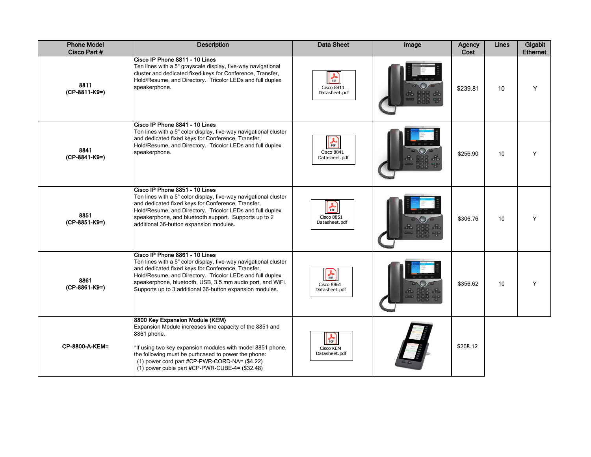| <b>Phone Model</b><br>Cisco Part # | <b>Description</b>                                                                                                                                                                                                                                                                                                                              | <b>Data Sheet</b>                                     | Image | Agency<br>Cost | Lines | Gigabit<br><b>Ethernet</b> |
|------------------------------------|-------------------------------------------------------------------------------------------------------------------------------------------------------------------------------------------------------------------------------------------------------------------------------------------------------------------------------------------------|-------------------------------------------------------|-------|----------------|-------|----------------------------|
| 8811<br>(CP-8811-K9=)              | Cisco IP Phone 8811 - 10 Lines<br>Ten lines with a 5" grayscale display, five-way navigational<br>cluster and dedicated fixed keys for Conference, Transfer,<br>Hold/Resume, and Directory. Tricolor LEDs and full duplex<br>speakerphone.                                                                                                      | $\frac{1}{\pi}$<br><b>Cisco 8811</b><br>Datasheet.pdf |       | \$239.81       | 10    | Y                          |
| 8841<br>(CP-8841-K9=)              | Cisco IP Phone 8841 - 10 Lines<br>Ten lines with a 5" color display, five-way navigational cluster<br>and dedicated fixed keys for Conference, Transfer,<br>Hold/Resume, and Directory. Tricolor LEDs and full duplex<br>speakerphone.                                                                                                          | $\frac{1}{\pi}$<br>Cisco 8841<br>Datasheet.pdf        |       | \$256.90       | 10    | Y                          |
| 8851<br>(CP-8851-K9=)              | Cisco IP Phone 8851 - 10 Lines<br>Ten lines with a 5" color display, five-way navigational cluster<br>and dedicated fixed keys for Conference, Transfer,<br>Hold/Resume, and Directory. Tricolor LEDs and full duplex<br>speakerphone, and bluetooth support. Supports up to 2<br>additional 36-button expansion modules.                       | $\frac{1}{\pi}$<br><b>Cisco 8851</b><br>Datasheet.pdf |       | \$306.76       | 10    | Y                          |
| 8861<br>(CP-8861-K9=)              | Cisco IP Phone 8861 - 10 Lines<br>Ten lines with a 5" color display, five-way navigational cluster<br>and dedicated fixed keys for Conference, Transfer,<br>Hold/Resume, and Directory. Tricolor LEDs and full duplex<br>speakerphone, bluetooth, USB, 3.5 mm audio port, and WiFi.<br>Supports up to 3 additional 36-button expansion modules. | $\frac{1}{\pi}$<br><b>Cisco 8861</b><br>Datasheet.pdf |       | \$356.62       | 10    | Y                          |
| CP-8800-A-KEM=                     | 8800 Key Expansion Module (KEM)<br>Expansion Module increases line capacity of the 8851 and<br>8861 phone.<br>*If using two key expansion modules with model 8851 phone,<br>the following must be purhcased to power the phone:<br>(1) power cord part #CP-PWR-CORD-NA= (\$4.22)<br>(1) power cuble part #CP-PWR-CUBE-4= (\$32.48)              | $\frac{1}{\pi}$<br>Cisco KEM<br>Datasheet.pdf         |       | \$268.12       |       |                            |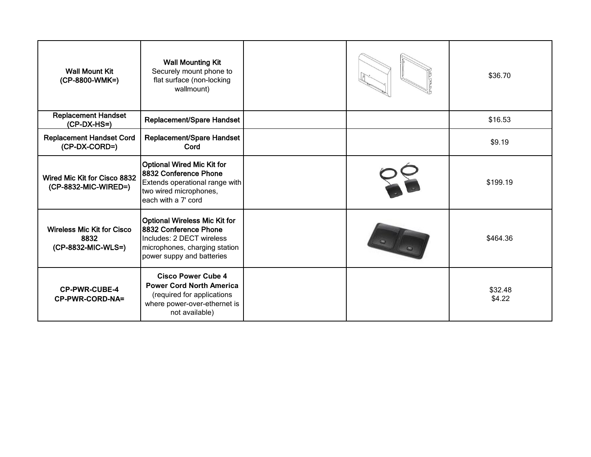| <b>Wall Mount Kit</b><br>(CP-8800-WMK=)                         | <b>Wall Mounting Kit</b><br>Securely mount phone to<br>flat surface (non-locking<br>wallmount)                                                           |  | \$36.70           |
|-----------------------------------------------------------------|----------------------------------------------------------------------------------------------------------------------------------------------------------|--|-------------------|
| <b>Replacement Handset</b><br>$(CP-DX-HS=)$                     | Replacement/Spare Handset                                                                                                                                |  | \$16.53           |
| <b>Replacement Handset Cord</b><br>(CP-DX-CORD=)                | Replacement/Spare Handset<br>Cord                                                                                                                        |  | \$9.19            |
| Wired Mic Kit for Cisco 8832<br>(CP-8832-MIC-WIRED=)            | Optional Wired Mic Kit for<br>8832 Conference Phone<br>Extends operational range with<br>two wired microphones,<br>leach with a 7' cord                  |  | \$199.19          |
| <b>Wireless Mic Kit for Cisco</b><br>8832<br>(CP-8832-MIC-WLS=) | Optional Wireless Mic Kit for<br><b>8832 Conference Phone</b><br>Includes: 2 DECT wireless<br>microphones, charging station<br>power suppy and batteries |  | \$464.36          |
| <b>CP-PWR-CUBE-4</b><br>CP-PWR-CORD-NA=                         | <b>Cisco Power Cube 4</b><br><b>Power Cord North America</b><br>(required for applications<br>where power-over-ethernet is<br>not available)             |  | \$32.48<br>\$4.22 |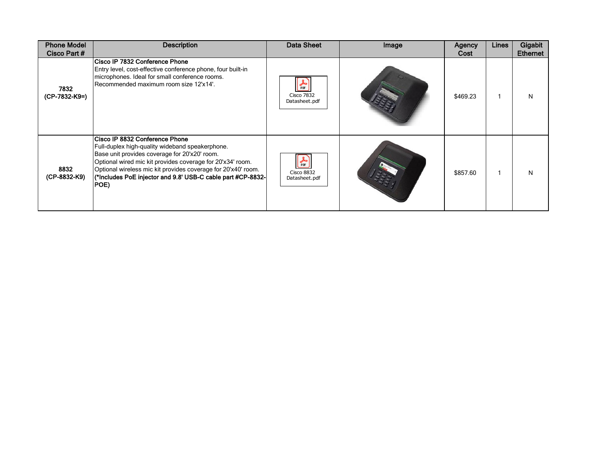| <b>Phone Model</b><br>Cisco Part # | <b>Description</b>                                                                                                                                                                                                                                                                                                                       | Data Sheet                                                                | Image | Agency<br>Cost | Lines | Gigabit<br><b>Ethernet</b> |
|------------------------------------|------------------------------------------------------------------------------------------------------------------------------------------------------------------------------------------------------------------------------------------------------------------------------------------------------------------------------------------|---------------------------------------------------------------------------|-------|----------------|-------|----------------------------|
| 7832<br>(CP-7832-K9=)              | Cisco IP 7832 Conference Phone<br>Entry level, cost-effective conference phone, four built-in<br>microphones. Ideal for small conference rooms.<br>Recommended maximum room size 12'x14'.                                                                                                                                                | 人际<br><b>Cisco 7832</b><br>Datasheet.pdf                                  |       | \$469.23       |       | N                          |
| 8832<br>(CP-8832-K9)               | Cisco IP 8832 Conference Phone<br>Full-duplex high-quality wideband speakerphone.<br>Base unit provides coverage for 20'x20' room.<br>Optional wired mic kit provides coverage for 20'x34' room.<br>Optional wireless mic kit provides coverage for 20'x40' room.<br>(*Includes PoE injector and 9.8' USB-C cable part #CP-8832-<br>POE) | $\frac{1}{\text{p} \cdot \text{p}}$<br><b>Cisco 8832</b><br>Datasheet.pdf |       | \$857.60       |       | N                          |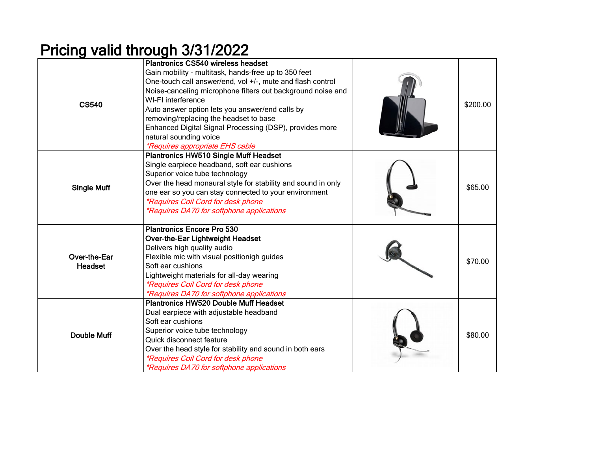## Pricing valid through 3/31/2022

| <b>CS540</b>            | Plantronics CS540 wireless headset<br>Gain mobility - multitask, hands-free up to 350 feet<br>One-touch call answer/end, vol +/-, mute and flash control<br>Noise-canceling microphone filters out background noise and<br>WI-FI interference<br>Auto answer option lets you answer/end calls by<br>removing/replacing the headset to base<br>Enhanced Digital Signal Processing (DSP), provides more<br>natural sounding voice<br><i>*Requires appropriate EHS cable</i> | \$200.00 |
|-------------------------|---------------------------------------------------------------------------------------------------------------------------------------------------------------------------------------------------------------------------------------------------------------------------------------------------------------------------------------------------------------------------------------------------------------------------------------------------------------------------|----------|
| <b>Single Muff</b>      | <b>Plantronics HW510 Single Muff Headset</b><br>Single earpiece headband, soft ear cushions<br>Superior voice tube technology<br>Over the head monaural style for stability and sound in only<br>one ear so you can stay connected to your environment<br>*Requires Coil Cord for desk phone<br>*Requires DA70 for softphone applications                                                                                                                                 | \$65.00  |
| Over-the-Ear<br>Headset | Plantronics Encore Pro 530<br>Over-the-Ear Lightweight Headset<br>Delivers high quality audio<br>Flexible mic with visual positionigh guides<br>Soft ear cushions<br>Lightweight materials for all-day wearing<br>*Requires Coil Cord for desk phone<br>*Requires DA70 for softphone applications                                                                                                                                                                         | \$70.00  |
| <b>Double Muff</b>      | <b>Plantronics HW520 Double Muff Headset</b><br>Dual earpiece with adjustable headband<br>Soft ear cushions<br>Superior voice tube technology<br>Quick disconnect feature<br>Over the head style for stability and sound in both ears<br>*Requires Coil Cord for desk phone<br>*Requires DA70 for softphone applications                                                                                                                                                  | \$80.00  |